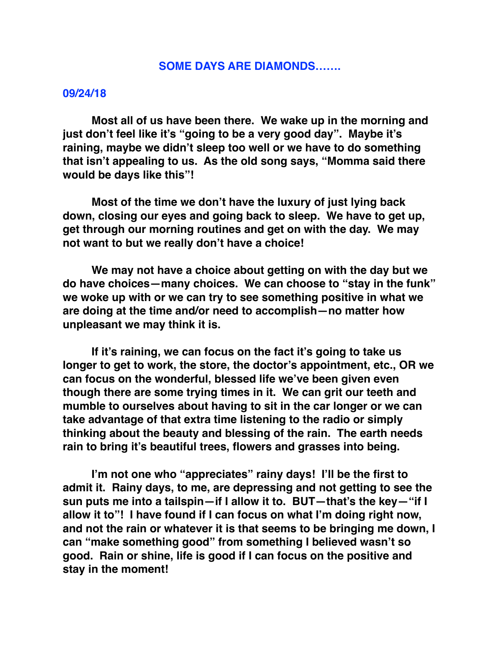## **SOME DAYS ARE DIAMONDS…….**

## **09/24/18**

**Most all of us have been there. We wake up in the morning and just don't feel like it's "going to be a very good day". Maybe it's raining, maybe we didn't sleep too well or we have to do something that isn't appealing to us. As the old song says, "Momma said there would be days like this"!**

**Most of the time we don't have the luxury of just lying back down, closing our eyes and going back to sleep. We have to get up, get through our morning routines and get on with the day. We may not want to but we really don't have a choice!**

**We may not have a choice about getting on with the day but we do have choices—many choices. We can choose to "stay in the funk" we woke up with or we can try to see something positive in what we are doing at the time and/or need to accomplish—no matter how unpleasant we may think it is.**

**If it's raining, we can focus on the fact it's going to take us longer to get to work, the store, the doctor's appointment, etc., OR we can focus on the wonderful, blessed life we've been given even though there are some trying times in it. We can grit our teeth and mumble to ourselves about having to sit in the car longer or we can take advantage of that extra time listening to the radio or simply thinking about the beauty and blessing of the rain. The earth needs rain to bring it's beautiful trees, flowers and grasses into being.** 

**I'm not one who "appreciates" rainy days! I'll be the first to admit it. Rainy days, to me, are depressing and not getting to see the sun puts me into a tailspin—if I allow it to. BUT—that's the key—"if I allow it to"! I have found if I can focus on what I'm doing right now, and not the rain or whatever it is that seems to be bringing me down, I can "make something good" from something I believed wasn't so good. Rain or shine, life is good if I can focus on the positive and stay in the moment!**